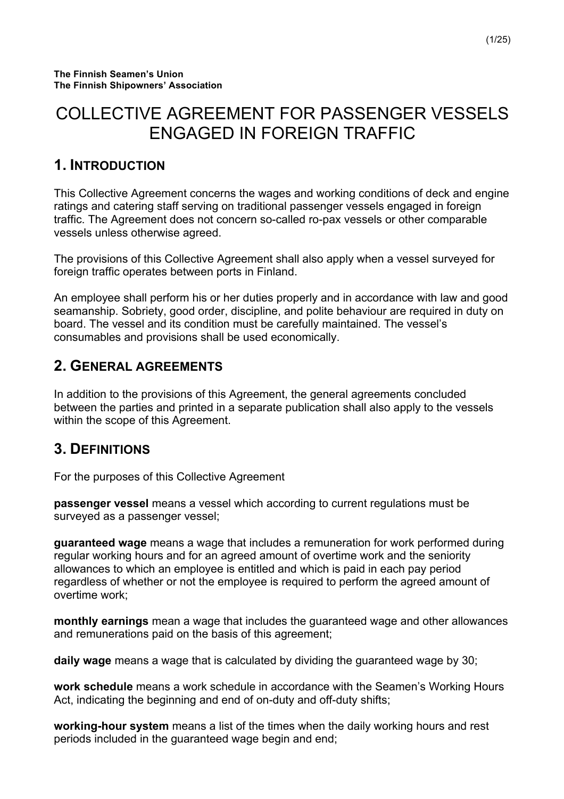# COLLECTIVE AGREEMENT FOR PASSENGER VESSELS ENGAGED IN FOREIGN TRAFFIC

# **1. INTRODUCTION**

This Collective Agreement concerns the wages and working conditions of deck and engine ratings and catering staff serving on traditional passenger vessels engaged in foreign traffic. The Agreement does not concern so-called ro-pax vessels or other comparable vessels unless otherwise agreed.

The provisions of this Collective Agreement shall also apply when a vessel surveyed for foreign traffic operates between ports in Finland.

An employee shall perform his or her duties properly and in accordance with law and good seamanship. Sobriety, good order, discipline, and polite behaviour are required in duty on board. The vessel and its condition must be carefully maintained. The vessel's consumables and provisions shall be used economically.

# **2. GENERAL AGREEMENTS**

In addition to the provisions of this Agreement, the general agreements concluded between the parties and printed in a separate publication shall also apply to the vessels within the scope of this Agreement.

# **3. DEFINITIONS**

For the purposes of this Collective Agreement

**passenger vessel** means a vessel which according to current regulations must be surveyed as a passenger vessel;

**guaranteed wage** means a wage that includes a remuneration for work performed during regular working hours and for an agreed amount of overtime work and the seniority allowances to which an employee is entitled and which is paid in each pay period regardless of whether or not the employee is required to perform the agreed amount of overtime work;

**monthly earnings** mean a wage that includes the guaranteed wage and other allowances and remunerations paid on the basis of this agreement;

**daily wage** means a wage that is calculated by dividing the guaranteed wage by 30;

**work schedule** means a work schedule in accordance with the Seamen's Working Hours Act, indicating the beginning and end of on-duty and off-duty shifts;

**working-hour system** means a list of the times when the daily working hours and rest periods included in the guaranteed wage begin and end;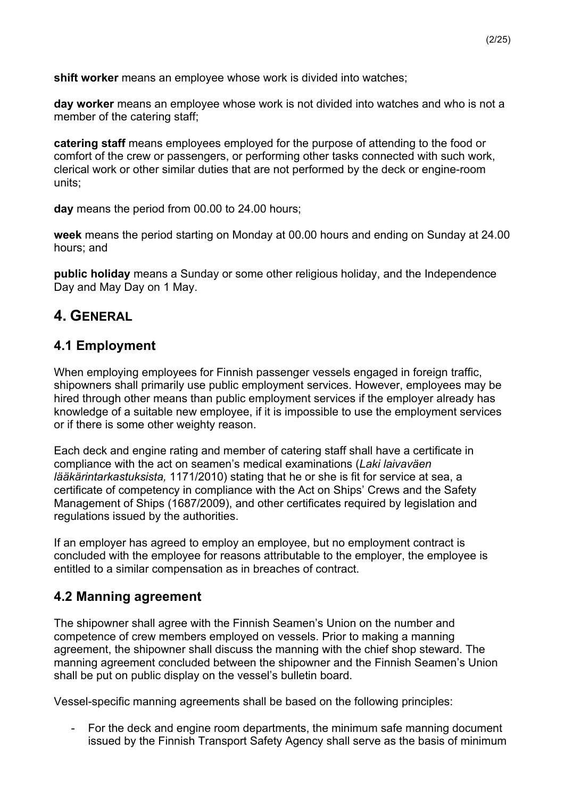**shift worker** means an employee whose work is divided into watches;

**day worker** means an employee whose work is not divided into watches and who is not a member of the catering staff;

**catering staff** means employees employed for the purpose of attending to the food or comfort of the crew or passengers, or performing other tasks connected with such work, clerical work or other similar duties that are not performed by the deck or engine-room units;

**day** means the period from 00.00 to 24.00 hours;

**week** means the period starting on Monday at 00.00 hours and ending on Sunday at 24.00 hours; and

**public holiday** means a Sunday or some other religious holiday, and the Independence Day and May Day on 1 May.

# **4. GENERAL**

## **4.1 Employment**

When employing employees for Finnish passenger vessels engaged in foreign traffic, shipowners shall primarily use public employment services. However, employees may be hired through other means than public employment services if the employer already has knowledge of a suitable new employee, if it is impossible to use the employment services or if there is some other weighty reason.

Each deck and engine rating and member of catering staff shall have a certificate in compliance with the act on seamen's medical examinations (*Laki laivaväen lääkärintarkastuksista,* 1171/2010) stating that he or she is fit for service at sea, a certificate of competency in compliance with the Act on Ships' Crews and the Safety Management of Ships (1687/2009), and other certificates required by legislation and regulations issued by the authorities.

If an employer has agreed to employ an employee, but no employment contract is concluded with the employee for reasons attributable to the employer, the employee is entitled to a similar compensation as in breaches of contract.

## **4.2 Manning agreement**

The shipowner shall agree with the Finnish Seamen's Union on the number and competence of crew members employed on vessels. Prior to making a manning agreement, the shipowner shall discuss the manning with the chief shop steward. The manning agreement concluded between the shipowner and the Finnish Seamen's Union shall be put on public display on the vessel's bulletin board.

Vessel-specific manning agreements shall be based on the following principles:

- For the deck and engine room departments, the minimum safe manning document issued by the Finnish Transport Safety Agency shall serve as the basis of minimum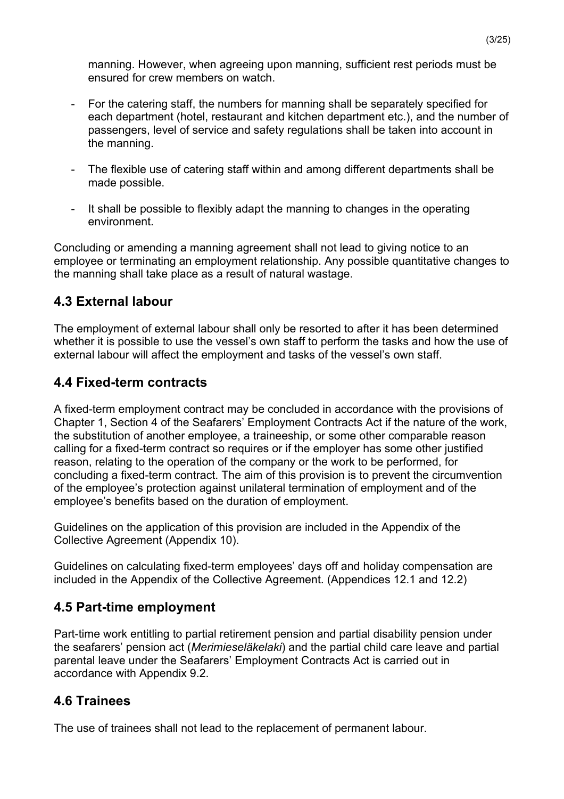manning. However, when agreeing upon manning, sufficient rest periods must be ensured for crew members on watch.

- For the catering staff, the numbers for manning shall be separately specified for each department (hotel, restaurant and kitchen department etc.), and the number of passengers, level of service and safety regulations shall be taken into account in the manning.
- The flexible use of catering staff within and among different departments shall be made possible.
- It shall be possible to flexibly adapt the manning to changes in the operating environment.

Concluding or amending a manning agreement shall not lead to giving notice to an employee or terminating an employment relationship. Any possible quantitative changes to the manning shall take place as a result of natural wastage.

## **4.3 External labour**

The employment of external labour shall only be resorted to after it has been determined whether it is possible to use the vessel's own staff to perform the tasks and how the use of external labour will affect the employment and tasks of the vessel's own staff.

## **4.4 Fixed-term contracts**

A fixed-term employment contract may be concluded in accordance with the provisions of Chapter 1, Section 4 of the Seafarers' Employment Contracts Act if the nature of the work, the substitution of another employee, a traineeship, or some other comparable reason calling for a fixed-term contract so requires or if the employer has some other justified reason, relating to the operation of the company or the work to be performed, for concluding a fixed-term contract. The aim of this provision is to prevent the circumvention of the employee's protection against unilateral termination of employment and of the employee's benefits based on the duration of employment.

Guidelines on the application of this provision are included in the Appendix of the Collective Agreement (Appendix 10).

Guidelines on calculating fixed-term employees' days off and holiday compensation are included in the Appendix of the Collective Agreement. (Appendices 12.1 and 12.2)

## **4.5 Part-time employment**

Part-time work entitling to partial retirement pension and partial disability pension under the seafarers' pension act (*Merimieseläkelaki*) and the partial child care leave and partial parental leave under the Seafarers' Employment Contracts Act is carried out in accordance with Appendix 9.2.

## **4.6 Trainees**

The use of trainees shall not lead to the replacement of permanent labour.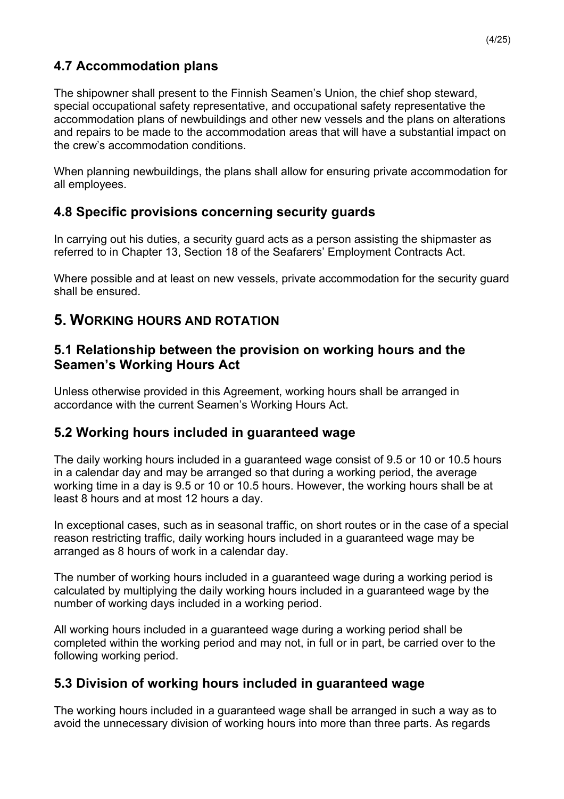## **4.7 Accommodation plans**

The shipowner shall present to the Finnish Seamen's Union, the chief shop steward, special occupational safety representative, and occupational safety representative the accommodation plans of newbuildings and other new vessels and the plans on alterations and repairs to be made to the accommodation areas that will have a substantial impact on the crew's accommodation conditions.

When planning newbuildings, the plans shall allow for ensuring private accommodation for all employees.

## **4.8 Specific provisions concerning security guards**

In carrying out his duties, a security guard acts as a person assisting the shipmaster as referred to in Chapter 13, Section 18 of the Seafarers' Employment Contracts Act.

Where possible and at least on new vessels, private accommodation for the security guard shall be ensured.

## **5. WORKING HOURS AND ROTATION**

### **5.1 Relationship between the provision on working hours and the Seamen's Working Hours Act**

Unless otherwise provided in this Agreement, working hours shall be arranged in accordance with the current Seamen's Working Hours Act.

## **5.2 Working hours included in guaranteed wage**

The daily working hours included in a guaranteed wage consist of 9.5 or 10 or 10.5 hours in a calendar day and may be arranged so that during a working period, the average working time in a day is 9.5 or 10 or 10.5 hours. However, the working hours shall be at least 8 hours and at most 12 hours a day.

In exceptional cases, such as in seasonal traffic, on short routes or in the case of a special reason restricting traffic, daily working hours included in a guaranteed wage may be arranged as 8 hours of work in a calendar day.

The number of working hours included in a guaranteed wage during a working period is calculated by multiplying the daily working hours included in a guaranteed wage by the number of working days included in a working period.

All working hours included in a guaranteed wage during a working period shall be completed within the working period and may not, in full or in part, be carried over to the following working period.

## **5.3 Division of working hours included in guaranteed wage**

The working hours included in a guaranteed wage shall be arranged in such a way as to avoid the unnecessary division of working hours into more than three parts. As regards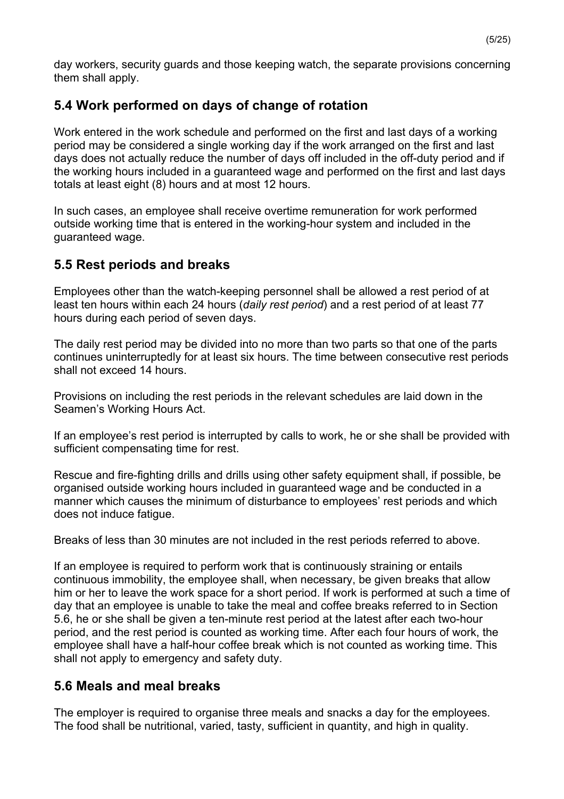day workers, security guards and those keeping watch, the separate provisions concerning them shall apply.

## **5.4 Work performed on days of change of rotation**

Work entered in the work schedule and performed on the first and last days of a working period may be considered a single working day if the work arranged on the first and last days does not actually reduce the number of days off included in the off-duty period and if the working hours included in a guaranteed wage and performed on the first and last days totals at least eight (8) hours and at most 12 hours.

In such cases, an employee shall receive overtime remuneration for work performed outside working time that is entered in the working-hour system and included in the guaranteed wage.

## **5.5 Rest periods and breaks**

Employees other than the watch-keeping personnel shall be allowed a rest period of at least ten hours within each 24 hours (*daily rest period*) and a rest period of at least 77 hours during each period of seven days.

The daily rest period may be divided into no more than two parts so that one of the parts continues uninterruptedly for at least six hours. The time between consecutive rest periods shall not exceed 14 hours.

Provisions on including the rest periods in the relevant schedules are laid down in the Seamen's Working Hours Act.

If an employee's rest period is interrupted by calls to work, he or she shall be provided with sufficient compensating time for rest.

Rescue and fire-fighting drills and drills using other safety equipment shall, if possible, be organised outside working hours included in guaranteed wage and be conducted in a manner which causes the minimum of disturbance to employees' rest periods and which does not induce fatigue.

Breaks of less than 30 minutes are not included in the rest periods referred to above.

If an employee is required to perform work that is continuously straining or entails continuous immobility, the employee shall, when necessary, be given breaks that allow him or her to leave the work space for a short period. If work is performed at such a time of day that an employee is unable to take the meal and coffee breaks referred to in Section 5.6, he or she shall be given a ten-minute rest period at the latest after each two-hour period, and the rest period is counted as working time. After each four hours of work, the employee shall have a half-hour coffee break which is not counted as working time. This shall not apply to emergency and safety duty.

## **5.6 Meals and meal breaks**

The employer is required to organise three meals and snacks a day for the employees. The food shall be nutritional, varied, tasty, sufficient in quantity, and high in quality.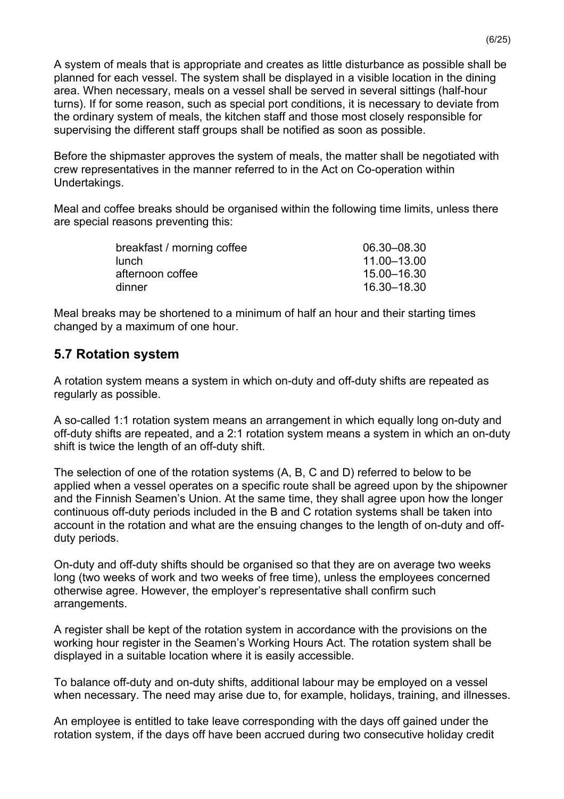A system of meals that is appropriate and creates as little disturbance as possible shall be planned for each vessel. The system shall be displayed in a visible location in the dining area. When necessary, meals on a vessel shall be served in several sittings (half-hour turns). If for some reason, such as special port conditions, it is necessary to deviate from the ordinary system of meals, the kitchen staff and those most closely responsible for supervising the different staff groups shall be notified as soon as possible.

Before the shipmaster approves the system of meals, the matter shall be negotiated with crew representatives in the manner referred to in the Act on Co-operation within Undertakings.

Meal and coffee breaks should be organised within the following time limits, unless there are special reasons preventing this:

| 06.30-08.30 |
|-------------|
| 11.00–13.00 |
| 15.00–16.30 |
| 16.30-18.30 |
|             |

Meal breaks may be shortened to a minimum of half an hour and their starting times changed by a maximum of one hour.

### **5.7 Rotation system**

A rotation system means a system in which on-duty and off-duty shifts are repeated as regularly as possible.

A so-called 1:1 rotation system means an arrangement in which equally long on-duty and off-duty shifts are repeated, and a 2:1 rotation system means a system in which an on-duty shift is twice the length of an off-duty shift.

The selection of one of the rotation systems (A, B, C and D) referred to below to be applied when a vessel operates on a specific route shall be agreed upon by the shipowner and the Finnish Seamen's Union. At the same time, they shall agree upon how the longer continuous off-duty periods included in the B and C rotation systems shall be taken into account in the rotation and what are the ensuing changes to the length of on-duty and offduty periods.

On-duty and off-duty shifts should be organised so that they are on average two weeks long (two weeks of work and two weeks of free time), unless the employees concerned otherwise agree. However, the employer's representative shall confirm such arrangements.

A register shall be kept of the rotation system in accordance with the provisions on the working hour register in the Seamen's Working Hours Act. The rotation system shall be displayed in a suitable location where it is easily accessible.

To balance off-duty and on-duty shifts, additional labour may be employed on a vessel when necessary. The need may arise due to, for example, holidays, training, and illnesses.

An employee is entitled to take leave corresponding with the days off gained under the rotation system, if the days off have been accrued during two consecutive holiday credit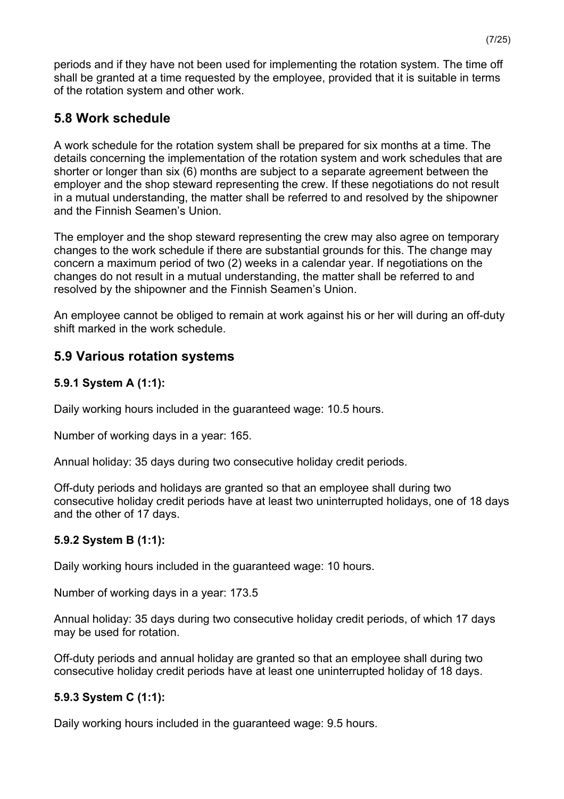periods and if they have not been used for implementing the rotation system. The time off shall be granted at a time requested by the employee, provided that it is suitable in terms of the rotation system and other work.

## **5.8 Work schedule**

A work schedule for the rotation system shall be prepared for six months at a time. The details concerning the implementation of the rotation system and work schedules that are shorter or longer than six (6) months are subject to a separate agreement between the employer and the shop steward representing the crew. If these negotiations do not result in a mutual understanding, the matter shall be referred to and resolved by the shipowner and the Finnish Seamen's Union.

The employer and the shop steward representing the crew may also agree on temporary changes to the work schedule if there are substantial grounds for this. The change may concern a maximum period of two (2) weeks in a calendar year. If negotiations on the changes do not result in a mutual understanding, the matter shall be referred to and resolved by the shipowner and the Finnish Seamen's Union.

An employee cannot be obliged to remain at work against his or her will during an off-duty shift marked in the work schedule.

## **5.9 Various rotation systems**

### **5.9.1 System A (1:1):**

Daily working hours included in the guaranteed wage: 10.5 hours.

Number of working days in a year: 165.

Annual holiday: 35 days during two consecutive holiday credit periods.

Off-duty periods and holidays are granted so that an employee shall during two consecutive holiday credit periods have at least two uninterrupted holidays, one of 18 days and the other of 17 days.

### **5.9.2 System B (1:1):**

Daily working hours included in the guaranteed wage: 10 hours.

Number of working days in a year: 173.5

Annual holiday: 35 days during two consecutive holiday credit periods, of which 17 days may be used for rotation.

Off-duty periods and annual holiday are granted so that an employee shall during two consecutive holiday credit periods have at least one uninterrupted holiday of 18 days.

### **5.9.3 System C (1:1):**

Daily working hours included in the guaranteed wage: 9.5 hours.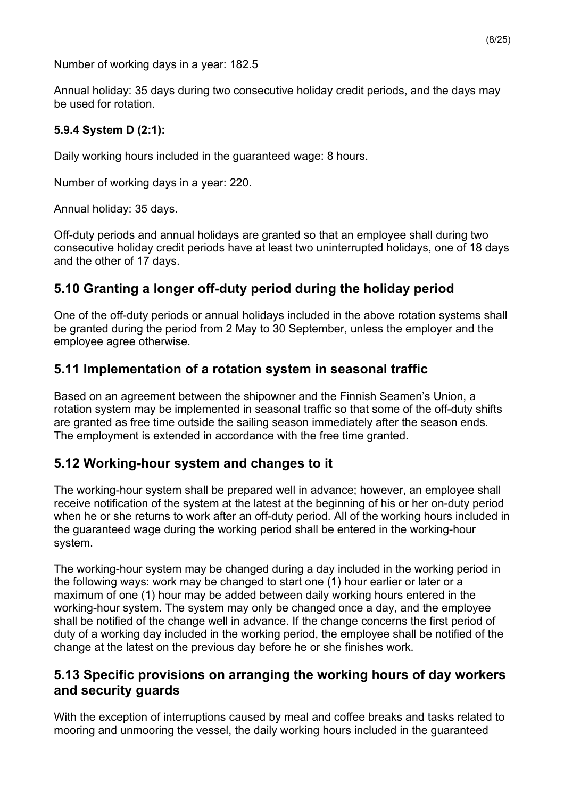Number of working days in a year: 182.5

Annual holiday: 35 days during two consecutive holiday credit periods, and the days may be used for rotation.

#### **5.9.4 System D (2:1):**

Daily working hours included in the guaranteed wage: 8 hours.

Number of working days in a year: 220.

Annual holiday: 35 days.

Off-duty periods and annual holidays are granted so that an employee shall during two consecutive holiday credit periods have at least two uninterrupted holidays, one of 18 days and the other of 17 days.

## **5.10 Granting a longer off-duty period during the holiday period**

One of the off-duty periods or annual holidays included in the above rotation systems shall be granted during the period from 2 May to 30 September, unless the employer and the employee agree otherwise.

### **5.11 Implementation of a rotation system in seasonal traffic**

Based on an agreement between the shipowner and the Finnish Seamen's Union, a rotation system may be implemented in seasonal traffic so that some of the off-duty shifts are granted as free time outside the sailing season immediately after the season ends. The employment is extended in accordance with the free time granted.

### **5.12 Working-hour system and changes to it**

The working-hour system shall be prepared well in advance; however, an employee shall receive notification of the system at the latest at the beginning of his or her on-duty period when he or she returns to work after an off-duty period. All of the working hours included in the guaranteed wage during the working period shall be entered in the working-hour system.

The working-hour system may be changed during a day included in the working period in the following ways: work may be changed to start one (1) hour earlier or later or a maximum of one (1) hour may be added between daily working hours entered in the working-hour system. The system may only be changed once a day, and the employee shall be notified of the change well in advance. If the change concerns the first period of duty of a working day included in the working period, the employee shall be notified of the change at the latest on the previous day before he or she finishes work.

### **5.13 Specific provisions on arranging the working hours of day workers and security guards**

With the exception of interruptions caused by meal and coffee breaks and tasks related to mooring and unmooring the vessel, the daily working hours included in the guaranteed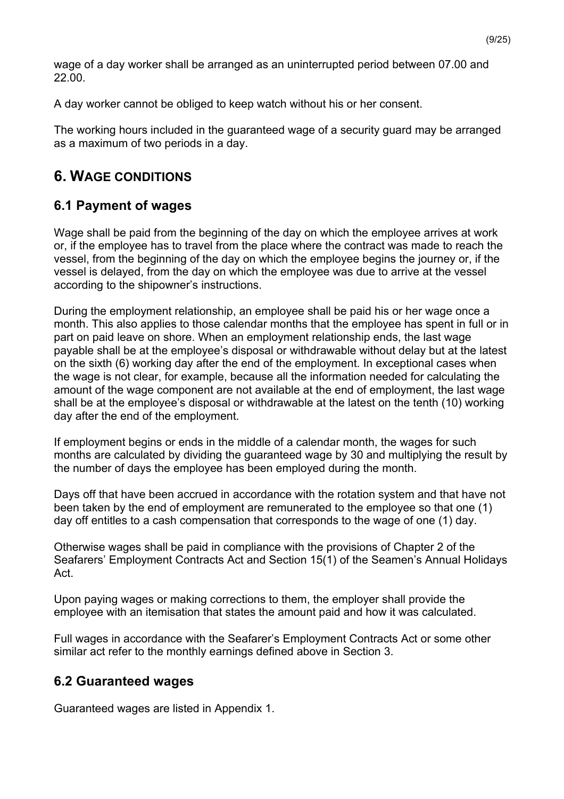wage of a day worker shall be arranged as an uninterrupted period between 07.00 and 22.00.

A day worker cannot be obliged to keep watch without his or her consent.

The working hours included in the guaranteed wage of a security guard may be arranged as a maximum of two periods in a day.

# **6. WAGE CONDITIONS**

## **6.1 Payment of wages**

Wage shall be paid from the beginning of the day on which the employee arrives at work or, if the employee has to travel from the place where the contract was made to reach the vessel, from the beginning of the day on which the employee begins the journey or, if the vessel is delayed, from the day on which the employee was due to arrive at the vessel according to the shipowner's instructions.

During the employment relationship, an employee shall be paid his or her wage once a month. This also applies to those calendar months that the employee has spent in full or in part on paid leave on shore. When an employment relationship ends, the last wage payable shall be at the employee's disposal or withdrawable without delay but at the latest on the sixth (6) working day after the end of the employment. In exceptional cases when the wage is not clear, for example, because all the information needed for calculating the amount of the wage component are not available at the end of employment, the last wage shall be at the employee's disposal or withdrawable at the latest on the tenth (10) working day after the end of the employment.

If employment begins or ends in the middle of a calendar month, the wages for such months are calculated by dividing the guaranteed wage by 30 and multiplying the result by the number of days the employee has been employed during the month.

Days off that have been accrued in accordance with the rotation system and that have not been taken by the end of employment are remunerated to the employee so that one (1) day off entitles to a cash compensation that corresponds to the wage of one (1) day.

Otherwise wages shall be paid in compliance with the provisions of Chapter 2 of the Seafarers' Employment Contracts Act and Section 15(1) of the Seamen's Annual Holidays Act.

Upon paying wages or making corrections to them, the employer shall provide the employee with an itemisation that states the amount paid and how it was calculated.

Full wages in accordance with the Seafarer's Employment Contracts Act or some other similar act refer to the monthly earnings defined above in Section 3.

## **6.2 Guaranteed wages**

Guaranteed wages are listed in Appendix 1.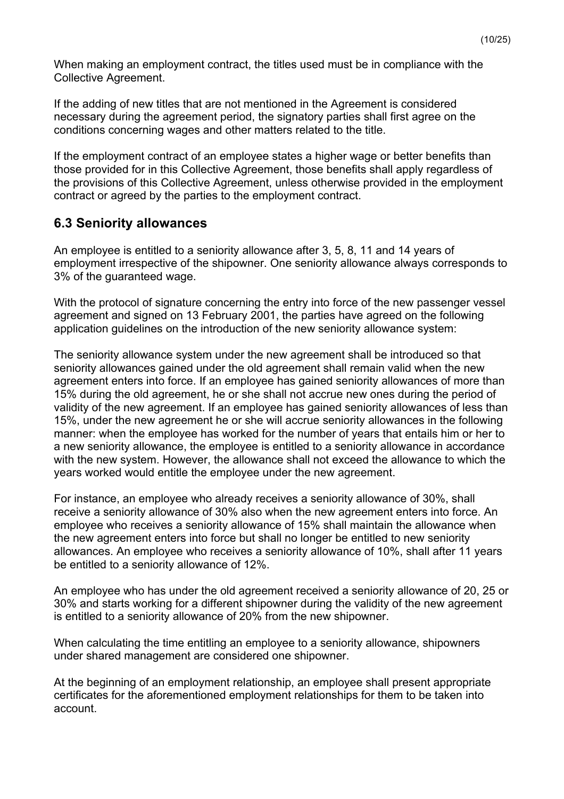When making an employment contract, the titles used must be in compliance with the Collective Agreement.

If the adding of new titles that are not mentioned in the Agreement is considered necessary during the agreement period, the signatory parties shall first agree on the conditions concerning wages and other matters related to the title.

If the employment contract of an employee states a higher wage or better benefits than those provided for in this Collective Agreement, those benefits shall apply regardless of the provisions of this Collective Agreement, unless otherwise provided in the employment contract or agreed by the parties to the employment contract.

## **6.3 Seniority allowances**

An employee is entitled to a seniority allowance after 3, 5, 8, 11 and 14 years of employment irrespective of the shipowner. One seniority allowance always corresponds to 3% of the guaranteed wage.

With the protocol of signature concerning the entry into force of the new passenger vessel agreement and signed on 13 February 2001, the parties have agreed on the following application guidelines on the introduction of the new seniority allowance system:

The seniority allowance system under the new agreement shall be introduced so that seniority allowances gained under the old agreement shall remain valid when the new agreement enters into force. If an employee has gained seniority allowances of more than 15% during the old agreement, he or she shall not accrue new ones during the period of validity of the new agreement. If an employee has gained seniority allowances of less than 15%, under the new agreement he or she will accrue seniority allowances in the following manner: when the employee has worked for the number of years that entails him or her to a new seniority allowance, the employee is entitled to a seniority allowance in accordance with the new system. However, the allowance shall not exceed the allowance to which the years worked would entitle the employee under the new agreement.

For instance, an employee who already receives a seniority allowance of 30%, shall receive a seniority allowance of 30% also when the new agreement enters into force. An employee who receives a seniority allowance of 15% shall maintain the allowance when the new agreement enters into force but shall no longer be entitled to new seniority allowances. An employee who receives a seniority allowance of 10%, shall after 11 years be entitled to a seniority allowance of 12%.

An employee who has under the old agreement received a seniority allowance of 20, 25 or 30% and starts working for a different shipowner during the validity of the new agreement is entitled to a seniority allowance of 20% from the new shipowner.

When calculating the time entitling an employee to a seniority allowance, shipowners under shared management are considered one shipowner.

At the beginning of an employment relationship, an employee shall present appropriate certificates for the aforementioned employment relationships for them to be taken into account.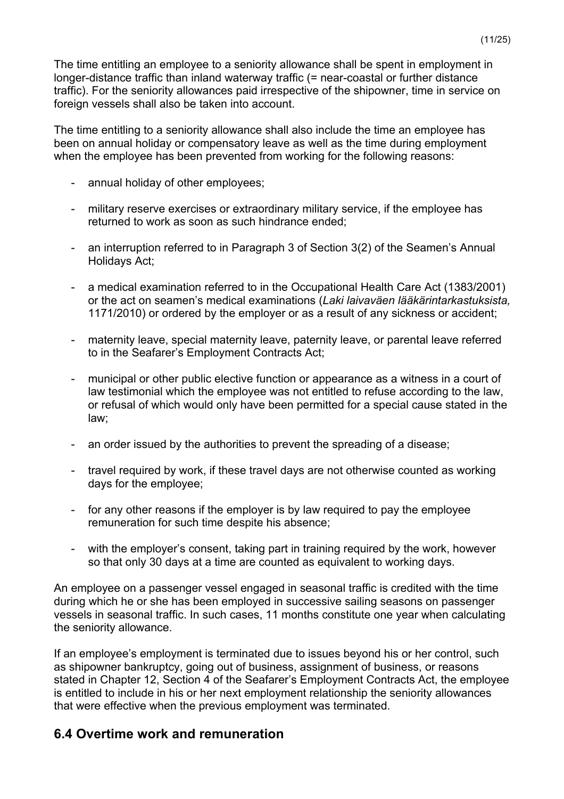The time entitling an employee to a seniority allowance shall be spent in employment in longer-distance traffic than inland waterway traffic (= near-coastal or further distance traffic). For the seniority allowances paid irrespective of the shipowner, time in service on foreign vessels shall also be taken into account.

The time entitling to a seniority allowance shall also include the time an employee has been on annual holiday or compensatory leave as well as the time during employment when the employee has been prevented from working for the following reasons:

- annual holiday of other employees;
- military reserve exercises or extraordinary military service, if the employee has returned to work as soon as such hindrance ended;
- an interruption referred to in Paragraph 3 of Section 3(2) of the Seamen's Annual Holidays Act;
- a medical examination referred to in the Occupational Health Care Act (1383/2001) or the act on seamen's medical examinations (*Laki laivaväen lääkärintarkastuksista,*  1171/2010) or ordered by the employer or as a result of any sickness or accident;
- maternity leave, special maternity leave, paternity leave, or parental leave referred to in the Seafarer's Employment Contracts Act;
- municipal or other public elective function or appearance as a witness in a court of law testimonial which the employee was not entitled to refuse according to the law, or refusal of which would only have been permitted for a special cause stated in the law;
- an order issued by the authorities to prevent the spreading of a disease;
- travel required by work, if these travel days are not otherwise counted as working days for the employee;
- for any other reasons if the employer is by law required to pay the employee remuneration for such time despite his absence;
- with the employer's consent, taking part in training required by the work, however so that only 30 days at a time are counted as equivalent to working days.

An employee on a passenger vessel engaged in seasonal traffic is credited with the time during which he or she has been employed in successive sailing seasons on passenger vessels in seasonal traffic. In such cases, 11 months constitute one year when calculating the seniority allowance.

If an employee's employment is terminated due to issues beyond his or her control, such as shipowner bankruptcy, going out of business, assignment of business, or reasons stated in Chapter 12, Section 4 of the Seafarer's Employment Contracts Act, the employee is entitled to include in his or her next employment relationship the seniority allowances that were effective when the previous employment was terminated.

### **6.4 Overtime work and remuneration**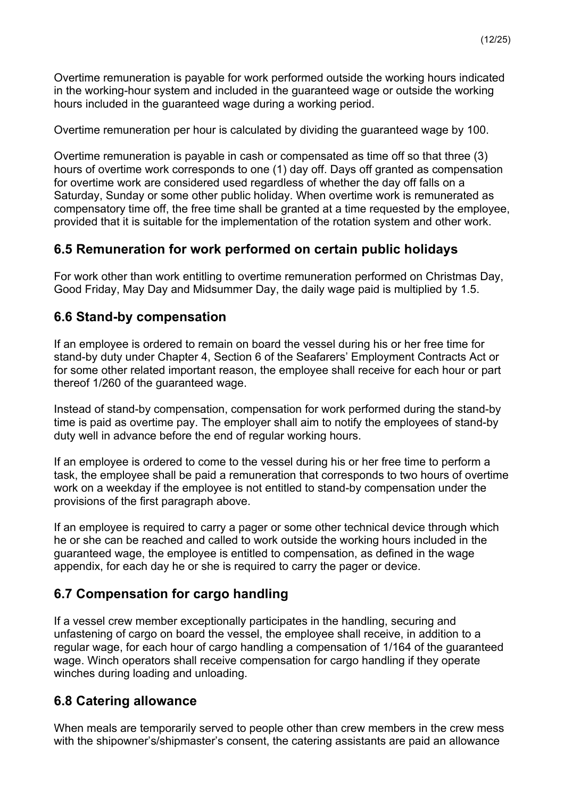Overtime remuneration is payable for work performed outside the working hours indicated in the working-hour system and included in the guaranteed wage or outside the working hours included in the guaranteed wage during a working period.

Overtime remuneration per hour is calculated by dividing the guaranteed wage by 100.

Overtime remuneration is payable in cash or compensated as time off so that three (3) hours of overtime work corresponds to one (1) day off. Days off granted as compensation for overtime work are considered used regardless of whether the day off falls on a Saturday, Sunday or some other public holiday. When overtime work is remunerated as compensatory time off, the free time shall be granted at a time requested by the employee, provided that it is suitable for the implementation of the rotation system and other work.

## **6.5 Remuneration for work performed on certain public holidays**

For work other than work entitling to overtime remuneration performed on Christmas Day, Good Friday, May Day and Midsummer Day, the daily wage paid is multiplied by 1.5.

### **6.6 Stand-by compensation**

If an employee is ordered to remain on board the vessel during his or her free time for stand-by duty under Chapter 4, Section 6 of the Seafarers' Employment Contracts Act or for some other related important reason, the employee shall receive for each hour or part thereof 1/260 of the guaranteed wage.

Instead of stand-by compensation, compensation for work performed during the stand-by time is paid as overtime pay. The employer shall aim to notify the employees of stand-by duty well in advance before the end of regular working hours.

If an employee is ordered to come to the vessel during his or her free time to perform a task, the employee shall be paid a remuneration that corresponds to two hours of overtime work on a weekday if the employee is not entitled to stand-by compensation under the provisions of the first paragraph above.

If an employee is required to carry a pager or some other technical device through which he or she can be reached and called to work outside the working hours included in the guaranteed wage, the employee is entitled to compensation, as defined in the wage appendix, for each day he or she is required to carry the pager or device.

## **6.7 Compensation for cargo handling**

If a vessel crew member exceptionally participates in the handling, securing and unfastening of cargo on board the vessel, the employee shall receive, in addition to a regular wage, for each hour of cargo handling a compensation of 1/164 of the guaranteed wage. Winch operators shall receive compensation for cargo handling if they operate winches during loading and unloading.

### **6.8 Catering allowance**

When meals are temporarily served to people other than crew members in the crew mess with the shipowner's/shipmaster's consent, the catering assistants are paid an allowance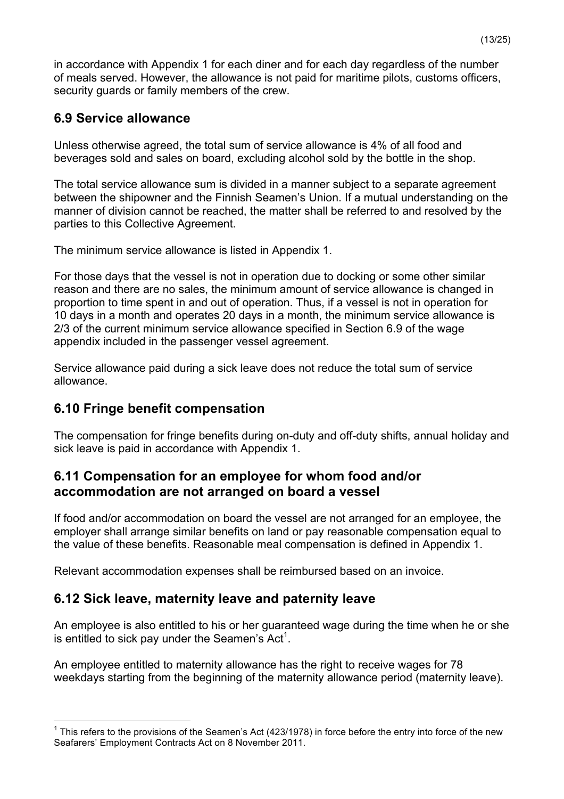in accordance with Appendix 1 for each diner and for each day regardless of the number of meals served. However, the allowance is not paid for maritime pilots, customs officers, security guards or family members of the crew.

### **6.9 Service allowance**

Unless otherwise agreed, the total sum of service allowance is 4% of all food and beverages sold and sales on board, excluding alcohol sold by the bottle in the shop.

The total service allowance sum is divided in a manner subject to a separate agreement between the shipowner and the Finnish Seamen's Union. If a mutual understanding on the manner of division cannot be reached, the matter shall be referred to and resolved by the parties to this Collective Agreement.

The minimum service allowance is listed in Appendix 1.

For those days that the vessel is not in operation due to docking or some other similar reason and there are no sales, the minimum amount of service allowance is changed in proportion to time spent in and out of operation. Thus, if a vessel is not in operation for 10 days in a month and operates 20 days in a month, the minimum service allowance is 2/3 of the current minimum service allowance specified in Section 6.9 of the wage appendix included in the passenger vessel agreement.

Service allowance paid during a sick leave does not reduce the total sum of service allowance.

## **6.10 Fringe benefit compensation**

The compensation for fringe benefits during on-duty and off-duty shifts, annual holiday and sick leave is paid in accordance with Appendix 1.

### **6.11 Compensation for an employee for whom food and/or accommodation are not arranged on board a vessel**

If food and/or accommodation on board the vessel are not arranged for an employee, the employer shall arrange similar benefits on land or pay reasonable compensation equal to the value of these benefits. Reasonable meal compensation is defined in Appendix 1.

Relevant accommodation expenses shall be reimbursed based on an invoice.

### **6.12 Sick leave, maternity leave and paternity leave**

An employee is also entitled to his or her guaranteed wage during the time when he or she is entitled to sick pay under the Seamen's Act<sup>1</sup>.

An employee entitled to maternity allowance has the right to receive wages for 78 weekdays starting from the beginning of the maternity allowance period (maternity leave).

 $1$  This refers to the provisions of the Seamen's Act (423/1978) in force before the entry into force of the new Seafarers' Employment Contracts Act on 8 November 2011.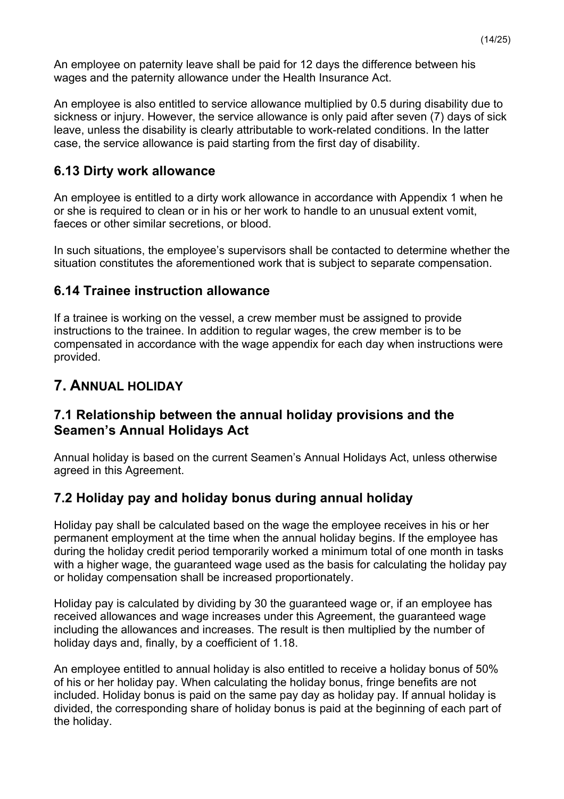An employee on paternity leave shall be paid for 12 days the difference between his wages and the paternity allowance under the Health Insurance Act.

An employee is also entitled to service allowance multiplied by 0.5 during disability due to sickness or injury. However, the service allowance is only paid after seven (7) days of sick leave, unless the disability is clearly attributable to work-related conditions. In the latter case, the service allowance is paid starting from the first day of disability.

## **6.13 Dirty work allowance**

An employee is entitled to a dirty work allowance in accordance with Appendix 1 when he or she is required to clean or in his or her work to handle to an unusual extent vomit, faeces or other similar secretions, or blood.

In such situations, the employee's supervisors shall be contacted to determine whether the situation constitutes the aforementioned work that is subject to separate compensation.

## **6.14 Trainee instruction allowance**

If a trainee is working on the vessel, a crew member must be assigned to provide instructions to the trainee. In addition to regular wages, the crew member is to be compensated in accordance with the wage appendix for each day when instructions were provided.

## **7. ANNUAL HOLIDAY**

### **7.1 Relationship between the annual holiday provisions and the Seamen's Annual Holidays Act**

Annual holiday is based on the current Seamen's Annual Holidays Act, unless otherwise agreed in this Agreement.

## **7.2 Holiday pay and holiday bonus during annual holiday**

Holiday pay shall be calculated based on the wage the employee receives in his or her permanent employment at the time when the annual holiday begins. If the employee has during the holiday credit period temporarily worked a minimum total of one month in tasks with a higher wage, the guaranteed wage used as the basis for calculating the holiday pay or holiday compensation shall be increased proportionately.

Holiday pay is calculated by dividing by 30 the guaranteed wage or, if an employee has received allowances and wage increases under this Agreement, the guaranteed wage including the allowances and increases. The result is then multiplied by the number of holiday days and, finally, by a coefficient of 1.18.

An employee entitled to annual holiday is also entitled to receive a holiday bonus of 50% of his or her holiday pay. When calculating the holiday bonus, fringe benefits are not included. Holiday bonus is paid on the same pay day as holiday pay. If annual holiday is divided, the corresponding share of holiday bonus is paid at the beginning of each part of the holiday.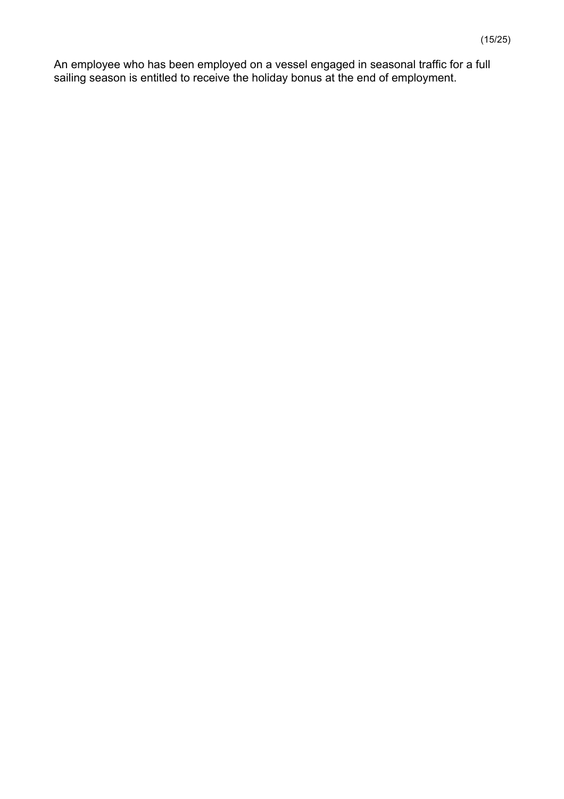An employee who has been employed on a vessel engaged in seasonal traffic for a full sailing season is entitled to receive the holiday bonus at the end of employment.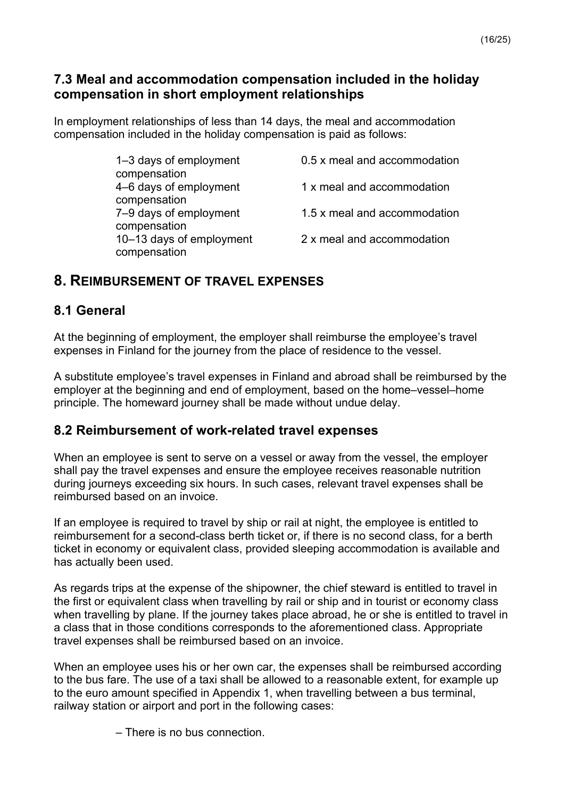### **7.3 Meal and accommodation compensation included in the holiday compensation in short employment relationships**

In employment relationships of less than 14 days, the meal and accommodation compensation included in the holiday compensation is paid as follows:

| 0.5 x meal and accommodation |
|------------------------------|
| 1 x meal and accommodation   |
|                              |
| 2 x meal and accommodation   |
|                              |

## **8. REIMBURSEMENT OF TRAVEL EXPENSES**

## **8.1 General**

At the beginning of employment, the employer shall reimburse the employee's travel expenses in Finland for the journey from the place of residence to the vessel.

A substitute employee's travel expenses in Finland and abroad shall be reimbursed by the employer at the beginning and end of employment, based on the home–vessel–home principle. The homeward journey shall be made without undue delay.

## **8.2 Reimbursement of work-related travel expenses**

When an employee is sent to serve on a vessel or away from the vessel, the employer shall pay the travel expenses and ensure the employee receives reasonable nutrition during journeys exceeding six hours. In such cases, relevant travel expenses shall be reimbursed based on an invoice.

If an employee is required to travel by ship or rail at night, the employee is entitled to reimbursement for a second-class berth ticket or, if there is no second class, for a berth ticket in economy or equivalent class, provided sleeping accommodation is available and has actually been used.

As regards trips at the expense of the shipowner, the chief steward is entitled to travel in the first or equivalent class when travelling by rail or ship and in tourist or economy class when travelling by plane. If the journey takes place abroad, he or she is entitled to travel in a class that in those conditions corresponds to the aforementioned class. Appropriate travel expenses shall be reimbursed based on an invoice.

When an employee uses his or her own car, the expenses shall be reimbursed according to the bus fare. The use of a taxi shall be allowed to a reasonable extent, for example up to the euro amount specified in Appendix 1, when travelling between a bus terminal, railway station or airport and port in the following cases:

– There is no bus connection.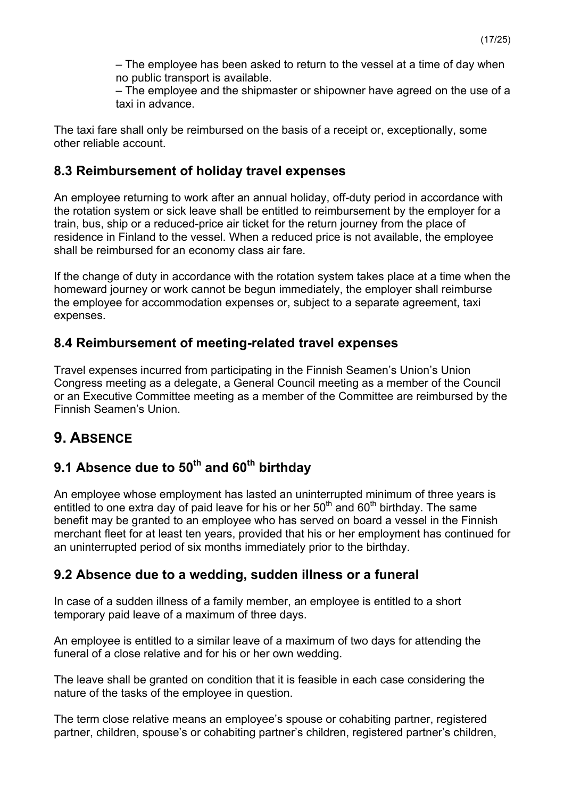– The employee has been asked to return to the vessel at a time of day when no public transport is available.

– The employee and the shipmaster or shipowner have agreed on the use of a taxi in advance.

The taxi fare shall only be reimbursed on the basis of a receipt or, exceptionally, some other reliable account.

### **8.3 Reimbursement of holiday travel expenses**

An employee returning to work after an annual holiday, off-duty period in accordance with the rotation system or sick leave shall be entitled to reimbursement by the employer for a train, bus, ship or a reduced-price air ticket for the return journey from the place of residence in Finland to the vessel. When a reduced price is not available, the employee shall be reimbursed for an economy class air fare.

If the change of duty in accordance with the rotation system takes place at a time when the homeward journey or work cannot be begun immediately, the employer shall reimburse the employee for accommodation expenses or, subject to a separate agreement, taxi expenses.

## **8.4 Reimbursement of meeting-related travel expenses**

Travel expenses incurred from participating in the Finnish Seamen's Union's Union Congress meeting as a delegate, a General Council meeting as a member of the Council or an Executive Committee meeting as a member of the Committee are reimbursed by the Finnish Seamen's Union.

# **9. ABSENCE**

# **9.1 Absence due to 50th and 60th birthday**

An employee whose employment has lasted an uninterrupted minimum of three years is entitled to one extra day of paid leave for his or her  $50<sup>th</sup>$  and  $60<sup>th</sup>$  birthday. The same benefit may be granted to an employee who has served on board a vessel in the Finnish merchant fleet for at least ten years, provided that his or her employment has continued for an uninterrupted period of six months immediately prior to the birthday.

## **9.2 Absence due to a wedding, sudden illness or a funeral**

In case of a sudden illness of a family member, an employee is entitled to a short temporary paid leave of a maximum of three days.

An employee is entitled to a similar leave of a maximum of two days for attending the funeral of a close relative and for his or her own wedding.

The leave shall be granted on condition that it is feasible in each case considering the nature of the tasks of the employee in question.

The term close relative means an employee's spouse or cohabiting partner, registered partner, children, spouse's or cohabiting partner's children, registered partner's children,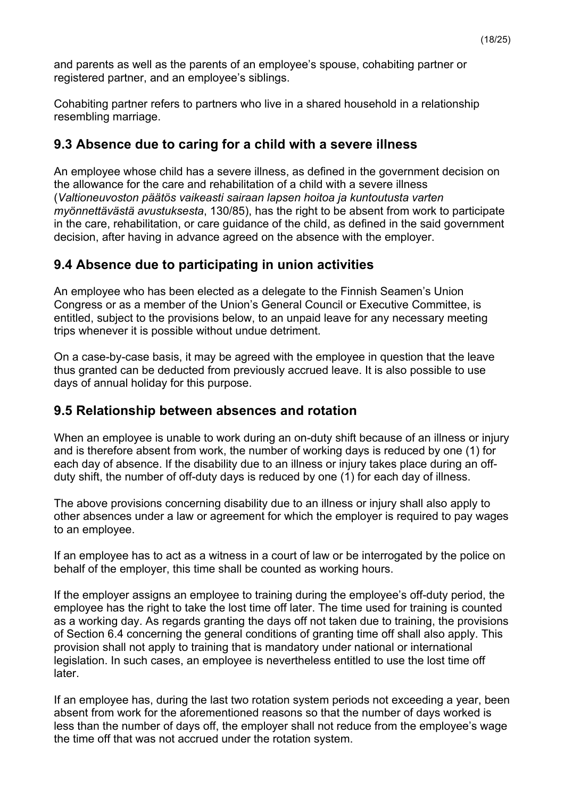and parents as well as the parents of an employee's spouse, cohabiting partner or registered partner, and an employee's siblings.

Cohabiting partner refers to partners who live in a shared household in a relationship resembling marriage.

### **9.3 Absence due to caring for a child with a severe illness**

An employee whose child has a severe illness, as defined in the government decision on the allowance for the care and rehabilitation of a child with a severe illness (*Valtioneuvoston päätös vaikeasti sairaan lapsen hoitoa ja kuntoutusta varten myönnettävästä avustuksesta*, 130/85), has the right to be absent from work to participate in the care, rehabilitation, or care guidance of the child, as defined in the said government decision, after having in advance agreed on the absence with the employer.

## **9.4 Absence due to participating in union activities**

An employee who has been elected as a delegate to the Finnish Seamen's Union Congress or as a member of the Union's General Council or Executive Committee, is entitled, subject to the provisions below, to an unpaid leave for any necessary meeting trips whenever it is possible without undue detriment.

On a case-by-case basis, it may be agreed with the employee in question that the leave thus granted can be deducted from previously accrued leave. It is also possible to use days of annual holiday for this purpose.

### **9.5 Relationship between absences and rotation**

When an employee is unable to work during an on-duty shift because of an illness or injury and is therefore absent from work, the number of working days is reduced by one (1) for each day of absence. If the disability due to an illness or injury takes place during an offduty shift, the number of off-duty days is reduced by one (1) for each day of illness.

The above provisions concerning disability due to an illness or injury shall also apply to other absences under a law or agreement for which the employer is required to pay wages to an employee.

If an employee has to act as a witness in a court of law or be interrogated by the police on behalf of the employer, this time shall be counted as working hours.

If the employer assigns an employee to training during the employee's off-duty period, the employee has the right to take the lost time off later. The time used for training is counted as a working day. As regards granting the days off not taken due to training, the provisions of Section 6.4 concerning the general conditions of granting time off shall also apply. This provision shall not apply to training that is mandatory under national or international legislation. In such cases, an employee is nevertheless entitled to use the lost time off later.

If an employee has, during the last two rotation system periods not exceeding a year, been absent from work for the aforementioned reasons so that the number of days worked is less than the number of days off, the employer shall not reduce from the employee's wage the time off that was not accrued under the rotation system.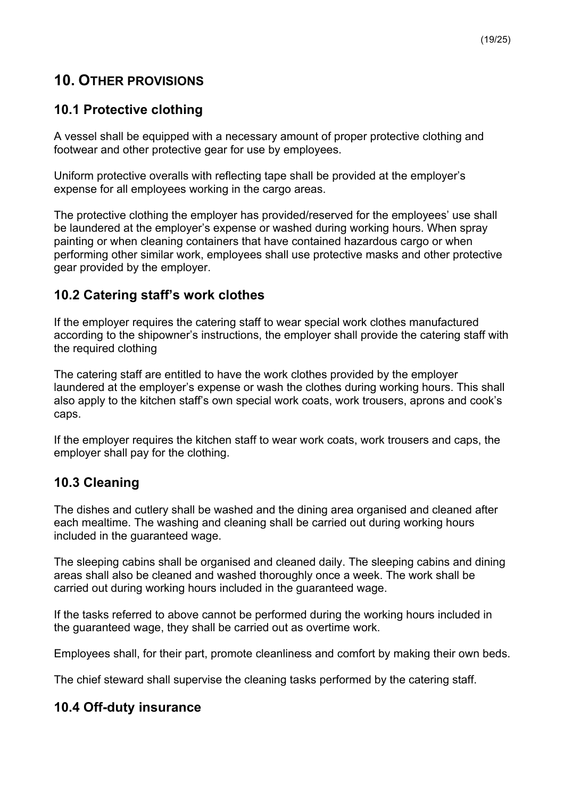## **10. OTHER PROVISIONS**

## **10.1 Protective clothing**

A vessel shall be equipped with a necessary amount of proper protective clothing and footwear and other protective gear for use by employees.

Uniform protective overalls with reflecting tape shall be provided at the employer's expense for all employees working in the cargo areas.

The protective clothing the employer has provided/reserved for the employees' use shall be laundered at the employer's expense or washed during working hours. When spray painting or when cleaning containers that have contained hazardous cargo or when performing other similar work, employees shall use protective masks and other protective gear provided by the employer.

## **10.2 Catering staff's work clothes**

If the employer requires the catering staff to wear special work clothes manufactured according to the shipowner's instructions, the employer shall provide the catering staff with the required clothing

The catering staff are entitled to have the work clothes provided by the employer laundered at the employer's expense or wash the clothes during working hours. This shall also apply to the kitchen staff's own special work coats, work trousers, aprons and cook's caps.

If the employer requires the kitchen staff to wear work coats, work trousers and caps, the employer shall pay for the clothing.

## **10.3 Cleaning**

The dishes and cutlery shall be washed and the dining area organised and cleaned after each mealtime. The washing and cleaning shall be carried out during working hours included in the guaranteed wage.

The sleeping cabins shall be organised and cleaned daily. The sleeping cabins and dining areas shall also be cleaned and washed thoroughly once a week. The work shall be carried out during working hours included in the guaranteed wage.

If the tasks referred to above cannot be performed during the working hours included in the guaranteed wage, they shall be carried out as overtime work.

Employees shall, for their part, promote cleanliness and comfort by making their own beds.

The chief steward shall supervise the cleaning tasks performed by the catering staff.

## **10.4 Off-duty insurance**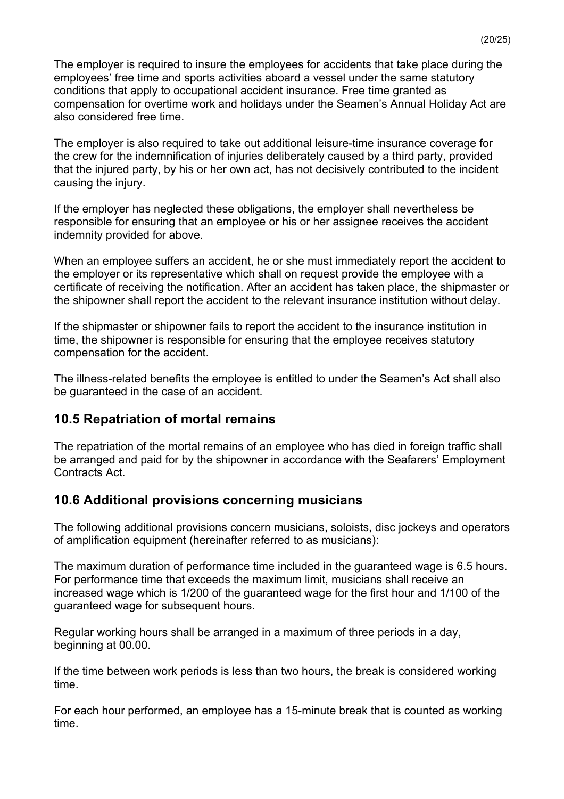The employer is required to insure the employees for accidents that take place during the employees' free time and sports activities aboard a vessel under the same statutory conditions that apply to occupational accident insurance. Free time granted as compensation for overtime work and holidays under the Seamen's Annual Holiday Act are also considered free time.

The employer is also required to take out additional leisure-time insurance coverage for the crew for the indemnification of injuries deliberately caused by a third party, provided that the injured party, by his or her own act, has not decisively contributed to the incident causing the injury.

If the employer has neglected these obligations, the employer shall nevertheless be responsible for ensuring that an employee or his or her assignee receives the accident indemnity provided for above.

When an employee suffers an accident, he or she must immediately report the accident to the employer or its representative which shall on request provide the employee with a certificate of receiving the notification. After an accident has taken place, the shipmaster or the shipowner shall report the accident to the relevant insurance institution without delay.

If the shipmaster or shipowner fails to report the accident to the insurance institution in time, the shipowner is responsible for ensuring that the employee receives statutory compensation for the accident.

The illness-related benefits the employee is entitled to under the Seamen's Act shall also be guaranteed in the case of an accident.

### **10.5 Repatriation of mortal remains**

The repatriation of the mortal remains of an employee who has died in foreign traffic shall be arranged and paid for by the shipowner in accordance with the Seafarers' Employment Contracts Act.

#### **10.6 Additional provisions concerning musicians**

The following additional provisions concern musicians, soloists, disc jockeys and operators of amplification equipment (hereinafter referred to as musicians):

The maximum duration of performance time included in the guaranteed wage is 6.5 hours. For performance time that exceeds the maximum limit, musicians shall receive an increased wage which is 1/200 of the guaranteed wage for the first hour and 1/100 of the guaranteed wage for subsequent hours.

Regular working hours shall be arranged in a maximum of three periods in a day, beginning at 00.00.

If the time between work periods is less than two hours, the break is considered working time.

For each hour performed, an employee has a 15-minute break that is counted as working time.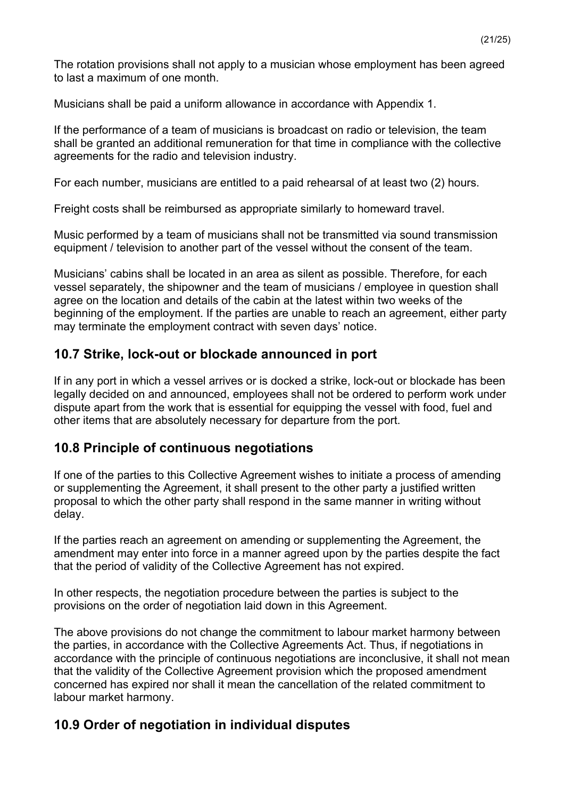The rotation provisions shall not apply to a musician whose employment has been agreed to last a maximum of one month.

Musicians shall be paid a uniform allowance in accordance with Appendix 1.

If the performance of a team of musicians is broadcast on radio or television, the team shall be granted an additional remuneration for that time in compliance with the collective agreements for the radio and television industry.

For each number, musicians are entitled to a paid rehearsal of at least two (2) hours.

Freight costs shall be reimbursed as appropriate similarly to homeward travel.

Music performed by a team of musicians shall not be transmitted via sound transmission equipment / television to another part of the vessel without the consent of the team.

Musicians' cabins shall be located in an area as silent as possible. Therefore, for each vessel separately, the shipowner and the team of musicians / employee in question shall agree on the location and details of the cabin at the latest within two weeks of the beginning of the employment. If the parties are unable to reach an agreement, either party may terminate the employment contract with seven days' notice.

### **10.7 Strike, lock-out or blockade announced in port**

If in any port in which a vessel arrives or is docked a strike, lock-out or blockade has been legally decided on and announced, employees shall not be ordered to perform work under dispute apart from the work that is essential for equipping the vessel with food, fuel and other items that are absolutely necessary for departure from the port.

### **10.8 Principle of continuous negotiations**

If one of the parties to this Collective Agreement wishes to initiate a process of amending or supplementing the Agreement, it shall present to the other party a justified written proposal to which the other party shall respond in the same manner in writing without delay.

If the parties reach an agreement on amending or supplementing the Agreement, the amendment may enter into force in a manner agreed upon by the parties despite the fact that the period of validity of the Collective Agreement has not expired.

In other respects, the negotiation procedure between the parties is subject to the provisions on the order of negotiation laid down in this Agreement.

The above provisions do not change the commitment to labour market harmony between the parties, in accordance with the Collective Agreements Act. Thus, if negotiations in accordance with the principle of continuous negotiations are inconclusive, it shall not mean that the validity of the Collective Agreement provision which the proposed amendment concerned has expired nor shall it mean the cancellation of the related commitment to labour market harmony.

### **10.9 Order of negotiation in individual disputes**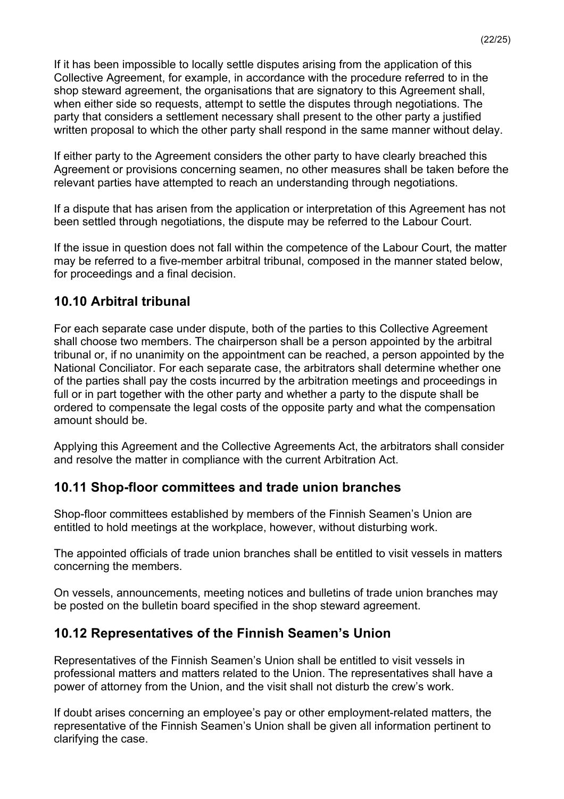If it has been impossible to locally settle disputes arising from the application of this Collective Agreement, for example, in accordance with the procedure referred to in the shop steward agreement, the organisations that are signatory to this Agreement shall, when either side so requests, attempt to settle the disputes through negotiations. The party that considers a settlement necessary shall present to the other party a justified written proposal to which the other party shall respond in the same manner without delay.

If either party to the Agreement considers the other party to have clearly breached this Agreement or provisions concerning seamen, no other measures shall be taken before the relevant parties have attempted to reach an understanding through negotiations.

If a dispute that has arisen from the application or interpretation of this Agreement has not been settled through negotiations, the dispute may be referred to the Labour Court.

If the issue in question does not fall within the competence of the Labour Court, the matter may be referred to a five-member arbitral tribunal, composed in the manner stated below, for proceedings and a final decision.

## **10.10 Arbitral tribunal**

For each separate case under dispute, both of the parties to this Collective Agreement shall choose two members. The chairperson shall be a person appointed by the arbitral tribunal or, if no unanimity on the appointment can be reached, a person appointed by the National Conciliator. For each separate case, the arbitrators shall determine whether one of the parties shall pay the costs incurred by the arbitration meetings and proceedings in full or in part together with the other party and whether a party to the dispute shall be ordered to compensate the legal costs of the opposite party and what the compensation amount should be.

Applying this Agreement and the Collective Agreements Act, the arbitrators shall consider and resolve the matter in compliance with the current Arbitration Act.

## **10.11 Shop-floor committees and trade union branches**

Shop-floor committees established by members of the Finnish Seamen's Union are entitled to hold meetings at the workplace, however, without disturbing work.

The appointed officials of trade union branches shall be entitled to visit vessels in matters concerning the members.

On vessels, announcements, meeting notices and bulletins of trade union branches may be posted on the bulletin board specified in the shop steward agreement.

## **10.12 Representatives of the Finnish Seamen's Union**

Representatives of the Finnish Seamen's Union shall be entitled to visit vessels in professional matters and matters related to the Union. The representatives shall have a power of attorney from the Union, and the visit shall not disturb the crew's work.

If doubt arises concerning an employee's pay or other employment-related matters, the representative of the Finnish Seamen's Union shall be given all information pertinent to clarifying the case.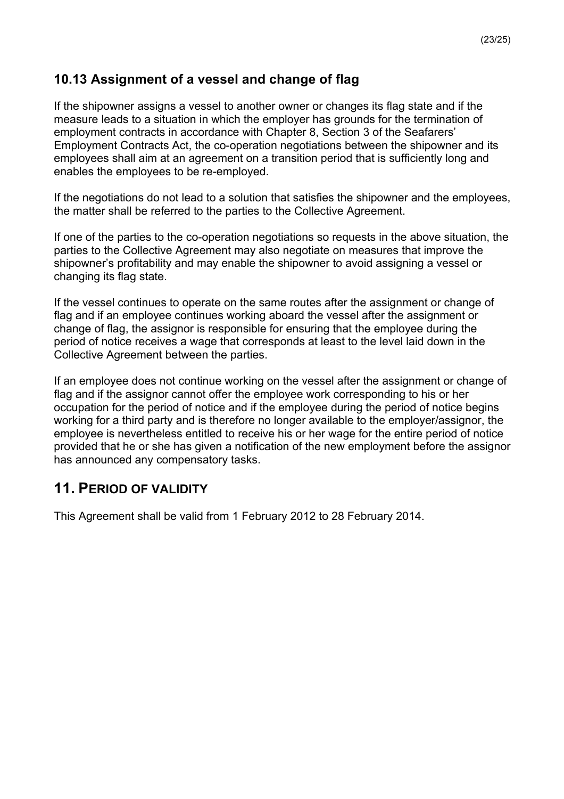## **10.13 Assignment of a vessel and change of flag**

If the shipowner assigns a vessel to another owner or changes its flag state and if the measure leads to a situation in which the employer has grounds for the termination of employment contracts in accordance with Chapter 8, Section 3 of the Seafarers' Employment Contracts Act, the co-operation negotiations between the shipowner and its employees shall aim at an agreement on a transition period that is sufficiently long and enables the employees to be re-employed.

If the negotiations do not lead to a solution that satisfies the shipowner and the employees, the matter shall be referred to the parties to the Collective Agreement.

If one of the parties to the co-operation negotiations so requests in the above situation, the parties to the Collective Agreement may also negotiate on measures that improve the shipowner's profitability and may enable the shipowner to avoid assigning a vessel or changing its flag state.

If the vessel continues to operate on the same routes after the assignment or change of flag and if an employee continues working aboard the vessel after the assignment or change of flag, the assignor is responsible for ensuring that the employee during the period of notice receives a wage that corresponds at least to the level laid down in the Collective Agreement between the parties.

If an employee does not continue working on the vessel after the assignment or change of flag and if the assignor cannot offer the employee work corresponding to his or her occupation for the period of notice and if the employee during the period of notice begins working for a third party and is therefore no longer available to the employer/assignor, the employee is nevertheless entitled to receive his or her wage for the entire period of notice provided that he or she has given a notification of the new employment before the assignor has announced any compensatory tasks.

# **11. PERIOD OF VALIDITY**

This Agreement shall be valid from 1 February 2012 to 28 February 2014.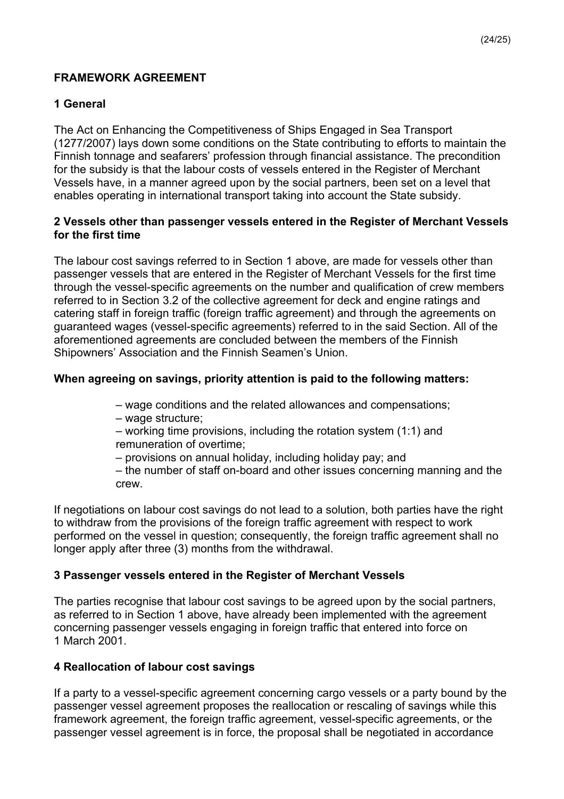#### **FRAMEWORK AGREEMENT**

#### **1 General**

The Act on Enhancing the Competitiveness of Ships Engaged in Sea Transport (1277/2007) lays down some conditions on the State contributing to efforts to maintain the Finnish tonnage and seafarers' profession through financial assistance. The precondition for the subsidy is that the labour costs of vessels entered in the Register of Merchant Vessels have, in a manner agreed upon by the social partners, been set on a level that enables operating in international transport taking into account the State subsidy.

#### **2 Vessels other than passenger vessels entered in the Register of Merchant Vessels for the first time**

The labour cost savings referred to in Section 1 above, are made for vessels other than passenger vessels that are entered in the Register of Merchant Vessels for the first time through the vessel-specific agreements on the number and qualification of crew members referred to in Section 3.2 of the collective agreement for deck and engine ratings and catering staff in foreign traffic (foreign traffic agreement) and through the agreements on guaranteed wages (vessel-specific agreements) referred to in the said Section. All of the aforementioned agreements are concluded between the members of the Finnish Shipowners' Association and the Finnish Seamen's Union.

#### **When agreeing on savings, priority attention is paid to the following matters:**

- wage conditions and the related allowances and compensations;
- wage structure;

– working time provisions, including the rotation system (1:1) and remuneration of overtime;

– provisions on annual holiday, including holiday pay; and

– the number of staff on-board and other issues concerning manning and the crew.

If negotiations on labour cost savings do not lead to a solution, both parties have the right to withdraw from the provisions of the foreign traffic agreement with respect to work performed on the vessel in question; consequently, the foreign traffic agreement shall no longer apply after three (3) months from the withdrawal.

#### **3 Passenger vessels entered in the Register of Merchant Vessels**

The parties recognise that labour cost savings to be agreed upon by the social partners, as referred to in Section 1 above, have already been implemented with the agreement concerning passenger vessels engaging in foreign traffic that entered into force on 1 March 2001.

#### **4 Reallocation of labour cost savings**

If a party to a vessel-specific agreement concerning cargo vessels or a party bound by the passenger vessel agreement proposes the reallocation or rescaling of savings while this framework agreement, the foreign traffic agreement, vessel-specific agreements, or the passenger vessel agreement is in force, the proposal shall be negotiated in accordance